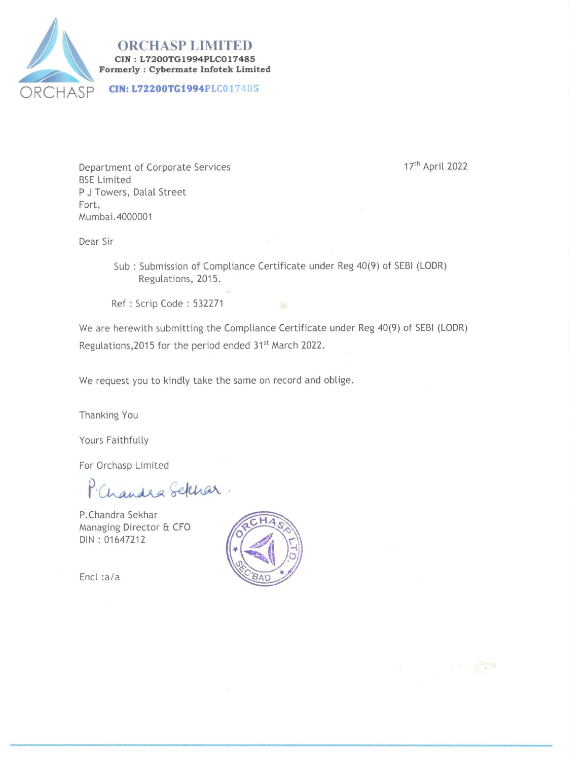

## **ORCHASP LIMITED** CIN: L7200TG1994PLC017485 Formerly: Cybermate Infotek Limited

## CIN: L72200TG1994PLC017485

17th April 2022

**A Bong TP** 

Department of Corporate Services **BSE Limited** P J Towers, Dalal Street Fort, Mumbai.4000001

Dear Sir

Sub: Submission of Compliance Certificate under Reg 40(9) of SEBI (LODR) Regulations, 2015.

Ref: Scrip Code: 532271

We are herewith submitting the Compliance Certificate under Reg 40(9) of SEBI (LODR) Regulations, 2015 for the period ended 31<sup>st</sup> March 2022.

We request you to kindly take the same on record and oblige.

Thanking You

Yours Faithfully

For Orchasp Limited

handes Sephar

P.Chandra Sekhar Managing Director & CFO DIN: 01647212



Encl: $a/a$